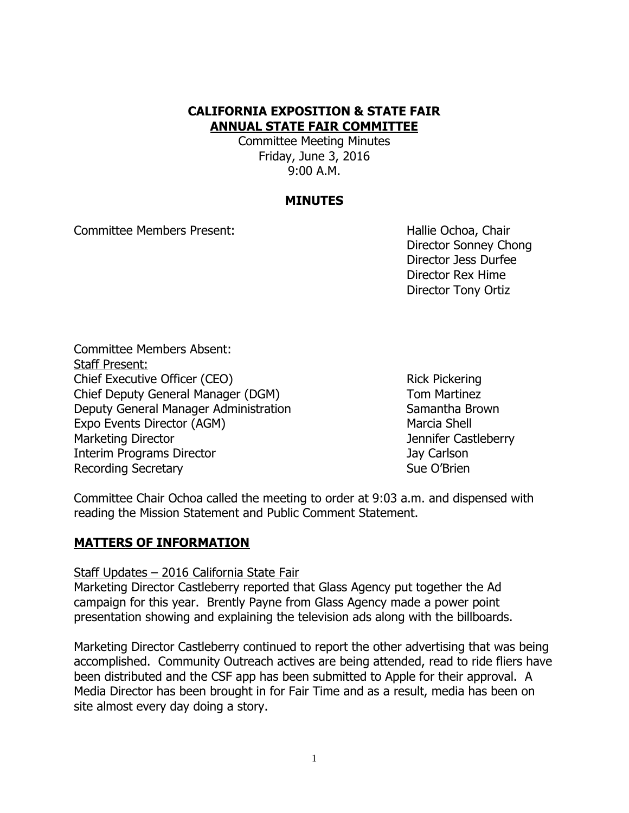# **CALIFORNIA EXPOSITION & STATE FAIR ANNUAL STATE FAIR COMMITTEE**

Committee Meeting Minutes Friday, June 3, 2016 9:00 A.M.

#### **MINUTES**

Committee Members Present: New York Committee Members Present:

Director Sonney Chong Director Jess Durfee Director Rex Hime Director Tony Ortiz

Committee Members Absent: Staff Present: Chief Executive Officer (CEO) Rick Pickering Chief Deputy General Manager (DGM) Tom Martinez Deputy General Manager Administration Samantha Brown Expo Events Director (AGM) Marcia Shell Marketing Director **Marketing Director** Marketing Director Interim Programs Director **Jay Carlson** Jay Carlson Recording Secretary **Sue O'Brien** Sue O'Brien

Committee Chair Ochoa called the meeting to order at 9:03 a.m. and dispensed with reading the Mission Statement and Public Comment Statement.

#### **MATTERS OF INFORMATION**

Staff Updates – 2016 California State Fair

Marketing Director Castleberry reported that Glass Agency put together the Ad campaign for this year. Brently Payne from Glass Agency made a power point presentation showing and explaining the television ads along with the billboards.

Marketing Director Castleberry continued to report the other advertising that was being accomplished. Community Outreach actives are being attended, read to ride fliers have been distributed and the CSF app has been submitted to Apple for their approval. A Media Director has been brought in for Fair Time and as a result, media has been on site almost every day doing a story.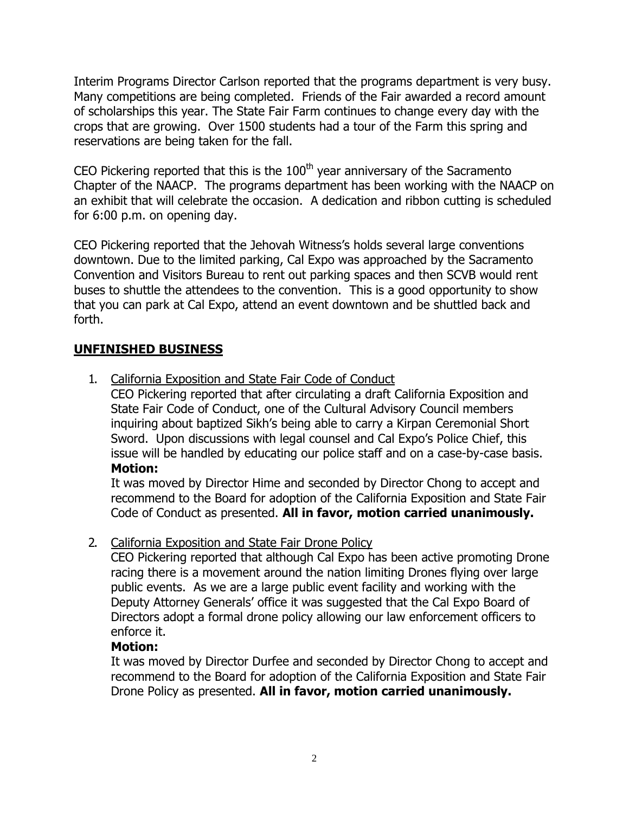Interim Programs Director Carlson reported that the programs department is very busy. Many competitions are being completed. Friends of the Fair awarded a record amount of scholarships this year. The State Fair Farm continues to change every day with the crops that are growing. Over 1500 students had a tour of the Farm this spring and reservations are being taken for the fall.

CEO Pickering reported that this is the  $100<sup>th</sup>$  year anniversary of the Sacramento Chapter of the NAACP. The programs department has been working with the NAACP on an exhibit that will celebrate the occasion. A dedication and ribbon cutting is scheduled for 6:00 p.m. on opening day.

CEO Pickering reported that the Jehovah Witness's holds several large conventions downtown. Due to the limited parking, Cal Expo was approached by the Sacramento Convention and Visitors Bureau to rent out parking spaces and then SCVB would rent buses to shuttle the attendees to the convention. This is a good opportunity to show that you can park at Cal Expo, attend an event downtown and be shuttled back and forth.

## **UNFINISHED BUSINESS**

1. California Exposition and State Fair Code of Conduct

CEO Pickering reported that after circulating a draft California Exposition and State Fair Code of Conduct, one of the Cultural Advisory Council members inquiring about baptized Sikh's being able to carry a Kirpan Ceremonial Short Sword. Upon discussions with legal counsel and Cal Expo's Police Chief, this issue will be handled by educating our police staff and on a case-by-case basis. **Motion:**

It was moved by Director Hime and seconded by Director Chong to accept and recommend to the Board for adoption of the California Exposition and State Fair Code of Conduct as presented. **All in favor, motion carried unanimously.**

### 2. California Exposition and State Fair Drone Policy

CEO Pickering reported that although Cal Expo has been active promoting Drone racing there is a movement around the nation limiting Drones flying over large public events. As we are a large public event facility and working with the Deputy Attorney Generals' office it was suggested that the Cal Expo Board of Directors adopt a formal drone policy allowing our law enforcement officers to enforce it.

### **Motion:**

It was moved by Director Durfee and seconded by Director Chong to accept and recommend to the Board for adoption of the California Exposition and State Fair Drone Policy as presented. **All in favor, motion carried unanimously.**